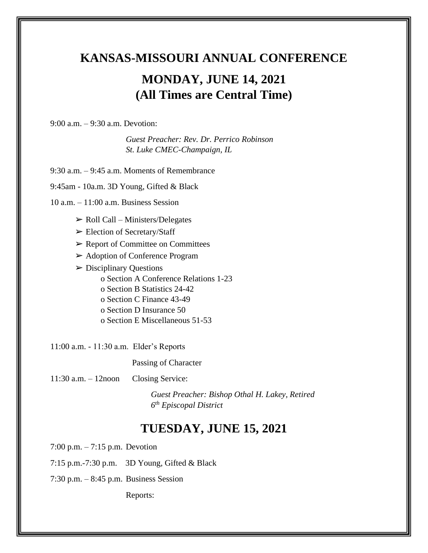# **KANSAS-MISSOURI ANNUAL CONFERENCE MONDAY, JUNE 14, 2021 (All Times are Central Time)**

9:00 a.m. – 9:30 a.m. Devotion:

*Guest Preacher: Rev. Dr. Perrico Robinson St. Luke CMEC-Champaign, IL*

9:30 a.m. – 9:45 a.m. Moments of Remembrance

9:45am - 10a.m. 3D Young, Gifted & Black

10 a.m. – 11:00 a.m. Business Session

- $\triangleright$  Roll Call Ministers/Delegates
- ➢ Election of Secretary/Staff
- $\triangleright$  Report of Committee on Committees
- ➢ Adoption of Conference Program
- $\triangleright$  Disciplinary Questions o Section A Conference Relations 1-23 o Section B Statistics 24-42 o Section C Finance 43-49 o Section D Insurance 50 o Section E Miscellaneous 51-53

11:00 a.m. - 11:30 a.m. Elder's Reports

Passing of Character

11:30 a.m. – 12noon Closing Service:

*Guest Preacher: Bishop Othal H. Lakey, Retired 6 th Episcopal District*

### **TUESDAY, JUNE 15, 2021**

7:00 p.m. – 7:15 p.m. Devotion

7:15 p.m.-7:30 p.m. 3D Young, Gifted & Black

7:30 p.m. – 8:45 p.m. Business Session

Reports: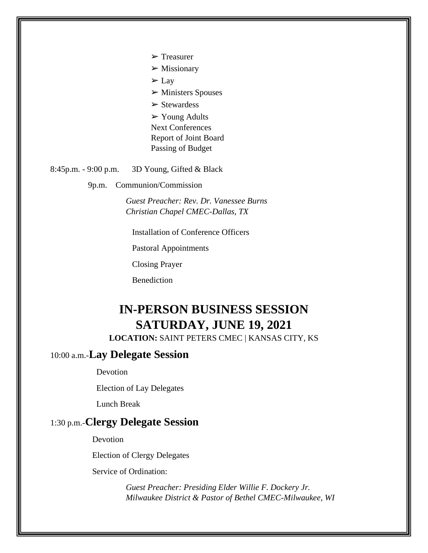- ➢ Treasurer
- $\triangleright$  Missionary
- $\Sigma$  Lay
- $\triangleright$  Ministers Spouses
- $\triangleright$  Stewardess
- ➢ Young Adults
- Next Conferences Report of Joint Board Passing of Budget

8:45p.m. - 9:00 p.m. 3D Young, Gifted & Black

9p.m. Communion/Commission

*Guest Preacher: Rev. Dr. Vanessee Burns Christian Chapel CMEC-Dallas, TX*

Installation of Conference Officers

Pastoral Appointments

Closing Prayer

Benediction

## **IN-PERSON BUSINESS SESSION SATURDAY, JUNE 19, 2021**

**LOCATION:** SAINT PETERS CMEC | KANSAS CITY, KS

#### 10:00 a.m.-**Lay Delegate Session**

Devotion

Election of Lay Delegates

Lunch Break

#### 1:30 p.m.-**Clergy Delegate Session**

**Devotion** 

Election of Clergy Delegates

Service of Ordination:

*Guest Preacher: Presiding Elder Willie F. Dockery Jr. Milwaukee District & Pastor of Bethel CMEC-Milwaukee, WI*